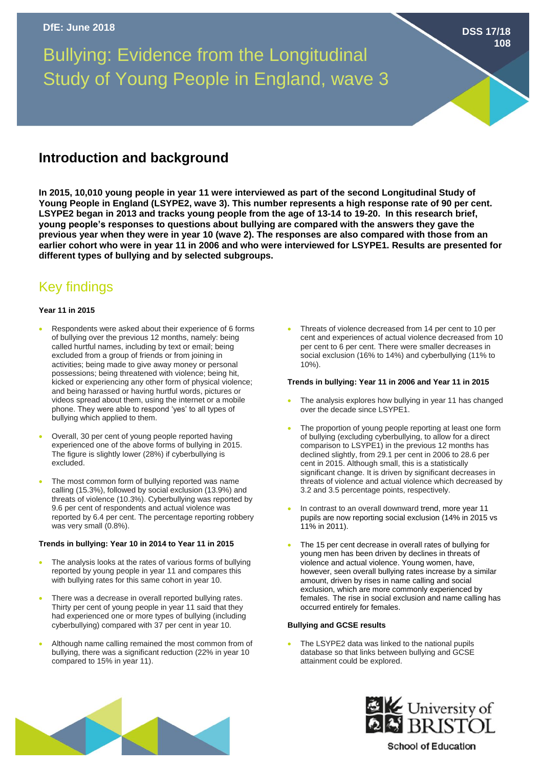Bullying: Evidence from the Longitudinal Study of Young People in England, wave 3

# **Introduction and background**

**In 2015, 10,010 young people in year 11 were interviewed as part of the second Longitudinal Study of Young People in England (LSYPE2, wave 3). This number represents a high response rate of 90 per cent. LSYPE2 began in 2013 and tracks young people from the age of 13-14 to 19-20. In this research brief, young people's responses to questions about bullying are compared with the answers they gave the previous year when they were in year 10 (wave 2). The responses are also compared with those from an earlier cohort who were in year 11 in 2006 and who were interviewed for LSYPE1. Results are presented for different types of bullying and by selected subgroups.**

# Key findings

## **Year 11 in 2015**

- Respondents were asked about their experience of 6 forms of bullying over the previous 12 months, namely: being called hurtful names, including by text or email; being excluded from a group of friends or from joining in activities; being made to give away money or personal possessions; being threatened with violence; being hit, kicked or experiencing any other form of physical violence; and being harassed or having hurtful words, pictures or videos spread about them, using the internet or a mobile phone. They were able to respond 'yes' to all types of bullying which applied to them.
- Overall, 30 per cent of young people reported having experienced one of the above forms of bullying in 2015. The figure is slightly lower (28%) if cyberbullying is excluded.
- The most common form of bullying reported was name calling (15.3%), followed by social exclusion (13.9%) and threats of violence (10.3%). Cyberbullying was reported by 9.6 per cent of respondents and actual violence was reported by 6.4 per cent. The percentage reporting robbery was very small (0.8%).

### **Trends in bullying: Year 10 in 2014 to Year 11 in 2015**

- The analysis looks at the rates of various forms of bullying reported by young people in year 11 and compares this with bullying rates for this same cohort in year 10.
- There was a decrease in overall reported bullying rates. Thirty per cent of young people in year 11 said that they had experienced one or more types of bullying (including cyberbullying) compared with 37 per cent in year 10.
- Although name calling remained the most common from of bullying, there was a significant reduction (22% in year 10 compared to 15% in year 11).

• Threats of violence decreased from 14 per cent to 10 per cent and experiences of actual violence decreased from 10 per cent to 6 per cent. There were smaller decreases in social exclusion (16% to 14%) and cyberbullying (11% to 10%).

**DSS 17/18**

**108**

#### **Trends in bullying: Year 11 in 2006 and Year 11 in 2015**

- The analysis explores how bullying in year 11 has changed over the decade since LSYPE1.
- The proportion of young people reporting at least one form of bullying (excluding cyberbullying, to allow for a direct comparison to LSYPE1) in the previous 12 months has declined slightly, from 29.1 per cent in 2006 to 28.6 per cent in 2015. Although small, this is a statistically significant change. It is driven by significant decreases in threats of violence and actual violence which decreased by 3.2 and 3.5 percentage points, respectively.
- In contrast to an overall downward trend, more year 11 pupils are now reporting social exclusion (14% in 2015 vs 11% in 2011).
- The 15 per cent decrease in overall rates of bullying for young men has been driven by declines in threats of violence and actual violence. Young women, have, however, seen overall bullying rates increase by a similar amount, driven by rises in name calling and social exclusion, which are more commonly experienced by females. The rise in social exclusion and name calling has occurred entirely for females.

#### **Bullying and GCSE results**

The LSYPE2 data was linked to the national pupils database so that links between bullying and GCSE attainment could be explored.





**School of Education**